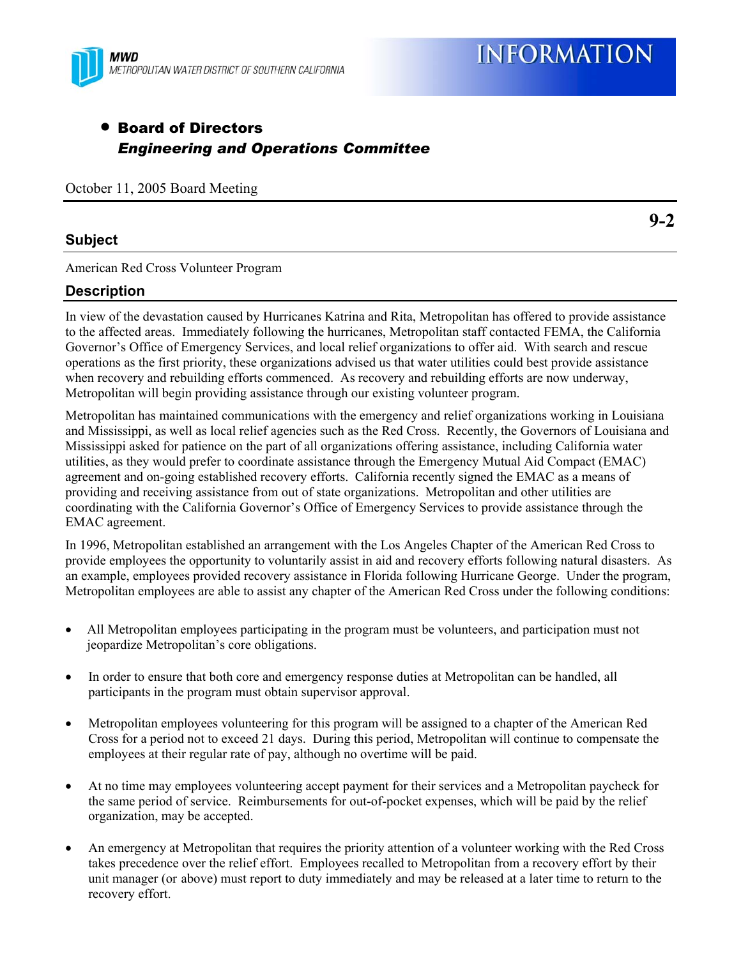

# • Board of Directors *Engineering and Operations Committee*

October 11, 2005 Board Meeting

## **Subject**

American Red Cross Volunteer Program

## **Description**

In view of the devastation caused by Hurricanes Katrina and Rita, Metropolitan has offered to provide assistance to the affected areas. Immediately following the hurricanes, Metropolitan staff contacted FEMA, the California Governor's Office of Emergency Services, and local relief organizations to offer aid. With search and rescue operations as the first priority, these organizations advised us that water utilities could best provide assistance when recovery and rebuilding efforts commenced. As recovery and rebuilding efforts are now underway, Metropolitan will begin providing assistance through our existing volunteer program.

Metropolitan has maintained communications with the emergency and relief organizations working in Louisiana and Mississippi, as well as local relief agencies such as the Red Cross. Recently, the Governors of Louisiana and Mississippi asked for patience on the part of all organizations offering assistance, including California water utilities, as they would prefer to coordinate assistance through the Emergency Mutual Aid Compact (EMAC) agreement and on-going established recovery efforts. California recently signed the EMAC as a means of providing and receiving assistance from out of state organizations. Metropolitan and other utilities are coordinating with the California Governor's Office of Emergency Services to provide assistance through the EMAC agreement.

In 1996, Metropolitan established an arrangement with the Los Angeles Chapter of the American Red Cross to provide employees the opportunity to voluntarily assist in aid and recovery efforts following natural disasters. As an example, employees provided recovery assistance in Florida following Hurricane George. Under the program, Metropolitan employees are able to assist any chapter of the American Red Cross under the following conditions:

- All Metropolitan employees participating in the program must be volunteers, and participation must not jeopardize Metropolitan's core obligations.
- In order to ensure that both core and emergency response duties at Metropolitan can be handled, all participants in the program must obtain supervisor approval.
- Metropolitan employees volunteering for this program will be assigned to a chapter of the American Red Cross for a period not to exceed 21 days. During this period, Metropolitan will continue to compensate the employees at their regular rate of pay, although no overtime will be paid.
- At no time may employees volunteering accept payment for their services and a Metropolitan paycheck for the same period of service. Reimbursements for out-of-pocket expenses, which will be paid by the relief organization, may be accepted.
- An emergency at Metropolitan that requires the priority attention of a volunteer working with the Red Cross takes precedence over the relief effort. Employees recalled to Metropolitan from a recovery effort by their unit manager (or above) must report to duty immediately and may be released at a later time to return to the recovery effort.

**9-2**